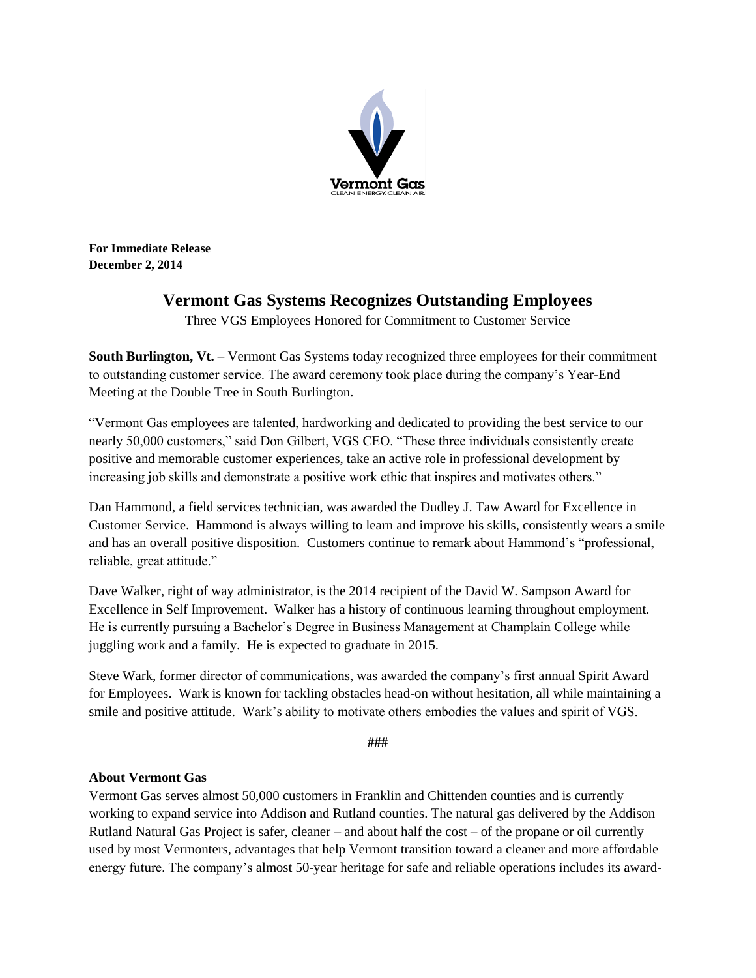

**For Immediate Release December 2, 2014**

## **Vermont Gas Systems Recognizes Outstanding Employees**

Three VGS Employees Honored for Commitment to Customer Service

**South Burlington, Vt.** – Vermont Gas Systems today recognized three employees for their commitment to outstanding customer service. The award ceremony took place during the company's Year-End Meeting at the Double Tree in South Burlington.

"Vermont Gas employees are talented, hardworking and dedicated to providing the best service to our nearly 50,000 customers," said Don Gilbert, VGS CEO. "These three individuals consistently create positive and memorable customer experiences, take an active role in professional development by increasing job skills and demonstrate a positive work ethic that inspires and motivates others."

Dan Hammond, a field services technician, was awarded the Dudley J. Taw Award for Excellence in Customer Service. Hammond is always willing to learn and improve his skills, consistently wears a smile and has an overall positive disposition. Customers continue to remark about Hammond's "professional, reliable, great attitude."

Dave Walker, right of way administrator, is the 2014 recipient of the David W. Sampson Award for Excellence in Self Improvement. Walker has a history of continuous learning throughout employment. He is currently pursuing a Bachelor's Degree in Business Management at Champlain College while juggling work and a family. He is expected to graduate in 2015.

Steve Wark, former director of communications, was awarded the company's first annual Spirit Award for Employees. Wark is known for tackling obstacles head-on without hesitation, all while maintaining a smile and positive attitude. Wark's ability to motivate others embodies the values and spirit of VGS.

**###**

## **About Vermont Gas**

Vermont Gas serves almost 50,000 customers in Franklin and Chittenden counties and is currently working to expand service into Addison and Rutland counties. The natural gas delivered by the Addison Rutland Natural Gas Project is safer, cleaner – and about half the cost – of the propane or oil currently used by most Vermonters, advantages that help Vermont transition toward a cleaner and more affordable energy future. The company's almost 50-year heritage for safe and reliable operations includes its award